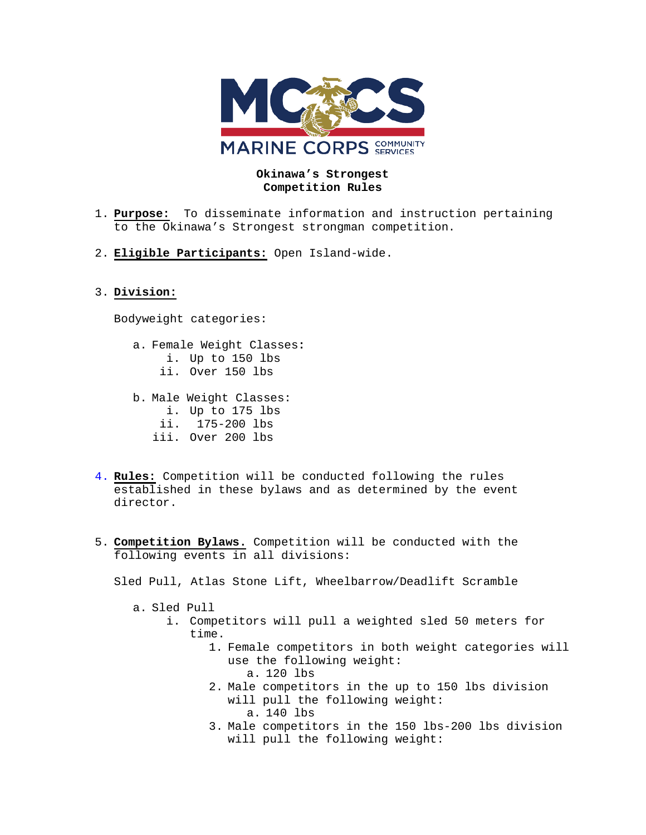

## **Okinawa's Strongest Competition Rules**

- 1. **Purpose:** To disseminate information and instruction pertaining to the Okinawa's Strongest strongman competition.
- 2. **Eligible Participants:** Open Island-wide.

## 3. **Division:**

Bodyweight categories:

- a. Female Weight Classes**:** i. Up to 150 lbs ii. Over 150 lbs
- b. Male Weight Classes:
	- i. Up to 175 lbs
	- ii. 175-200 lbs
	- iii. Over 200 lbs
- 4. **Rules:** Competition will be conducted following the rules established in these bylaws and as determined by the event director.
- 5. **Competition Bylaws.** Competition will be conducted with the following events in all divisions:

Sled Pull, Atlas Stone Lift, Wheelbarrow/Deadlift Scramble

- a. Sled Pull
	- i. Competitors will pull a weighted sled 50 meters for time.
		- 1. Female competitors in both weight categories will use the following weight:
			- a. 120 lbs
		- 2. Male competitors in the up to 150 lbs division will pull the following weight: a. 140 lbs
		- 3. Male competitors in the 150 lbs-200 lbs division will pull the following weight: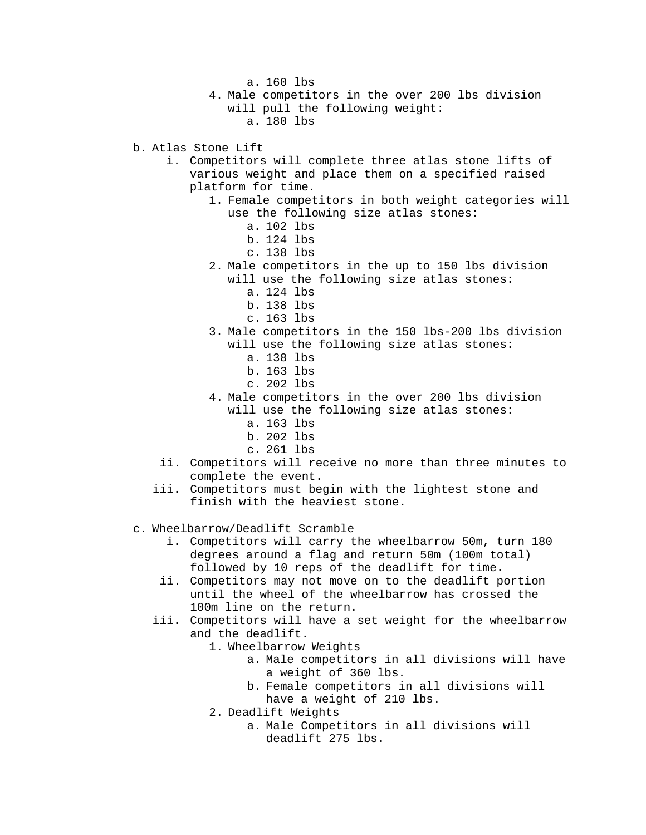a. 160 lbs

- 4. Male competitors in the over 200 lbs division will pull the following weight: a. 180 lbs
- b. Atlas Stone Lift
	- i. Competitors will complete three atlas stone lifts of various weight and place them on a specified raised platform for time.
		- 1. Female competitors in both weight categories will use the following size atlas stones:
			- a. 102 lbs
			- b. 124 lbs
			- c. 138 lbs
		- 2. Male competitors in the up to 150 lbs division will use the following size atlas stones:
			- a. 124 lbs
			- b. 138 lbs
			- c. 163 lbs
		- 3. Male competitors in the 150 lbs-200 lbs division will use the following size atlas stones:
			- a. 138 lbs
			- b. 163 lbs
			- c. 202 lbs
		- 4. Male competitors in the over 200 lbs division
			- will use the following size atlas stones: a. 163 lbs
				- b. 202 lbs
				-
				- c. 261 lbs
	- ii. Competitors will receive no more than three minutes to complete the event.
	- iii. Competitors must begin with the lightest stone and finish with the heaviest stone.
- c. Wheelbarrow/Deadlift Scramble
	- i. Competitors will carry the wheelbarrow 50m, turn 180 degrees around a flag and return 50m (100m total) followed by 10 reps of the deadlift for time.
	- ii. Competitors may not move on to the deadlift portion until the wheel of the wheelbarrow has crossed the 100m line on the return.
	- iii. Competitors will have a set weight for the wheelbarrow and the deadlift.
		- 1. Wheelbarrow Weights
			- a. Male competitors in all divisions will have a weight of 360 lbs.
			- b. Female competitors in all divisions will have a weight of 210 lbs.
		- 2. Deadlift Weights
			- a. Male Competitors in all divisions will deadlift 275 lbs.